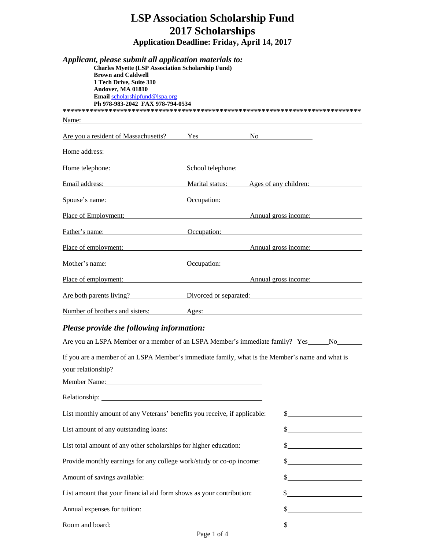| <b>LSP Association Scholarship Fund</b><br><b>2017 Scholarships</b>                                                                                                                                                                                                            |                                                     |  |                                                                                                                                                                                                                                |  |  |  |
|--------------------------------------------------------------------------------------------------------------------------------------------------------------------------------------------------------------------------------------------------------------------------------|-----------------------------------------------------|--|--------------------------------------------------------------------------------------------------------------------------------------------------------------------------------------------------------------------------------|--|--|--|
|                                                                                                                                                                                                                                                                                | <b>Application Deadline: Friday, April 14, 2017</b> |  |                                                                                                                                                                                                                                |  |  |  |
| Applicant, please submit all application materials to:<br><b>Charles Myette (LSP Association Scholarship Fund)</b><br><b>Brown and Caldwell</b><br>1 Tech Drive, Suite 310<br>Andover, MA 01810<br>Email scholarshipfund@lspa.org<br>Ph 978-983-2042 FAX 978-794-0534<br>Name: |                                                     |  |                                                                                                                                                                                                                                |  |  |  |
| Are you a resident of Massachusetts?                                                                                                                                                                                                                                           | Yes                                                 |  | No and the same state of the state of the state of the state of the state of the state of the state of the state of the state of the state of the state of the state of the state of the state of the state of the state of th |  |  |  |
| Home address:                                                                                                                                                                                                                                                                  |                                                     |  |                                                                                                                                                                                                                                |  |  |  |
| Home telephone:                                                                                                                                                                                                                                                                | School telephone:                                   |  |                                                                                                                                                                                                                                |  |  |  |
| Email address:                                                                                                                                                                                                                                                                 | Marital status: Ages of any children:               |  |                                                                                                                                                                                                                                |  |  |  |
| Spouse's name: Occupation:                                                                                                                                                                                                                                                     |                                                     |  |                                                                                                                                                                                                                                |  |  |  |
| Place of Employment:                                                                                                                                                                                                                                                           |                                                     |  | Annual gross income:                                                                                                                                                                                                           |  |  |  |
| Father's name:                                                                                                                                                                                                                                                                 | Occupation:                                         |  |                                                                                                                                                                                                                                |  |  |  |
| Place of employment:                                                                                                                                                                                                                                                           |                                                     |  | Annual gross income:                                                                                                                                                                                                           |  |  |  |
| Mother's name: Occupation:                                                                                                                                                                                                                                                     |                                                     |  |                                                                                                                                                                                                                                |  |  |  |
| Place of employment:                                                                                                                                                                                                                                                           |                                                     |  | Annual gross income:                                                                                                                                                                                                           |  |  |  |
| Are both parents living? Divorced or separated:                                                                                                                                                                                                                                |                                                     |  |                                                                                                                                                                                                                                |  |  |  |
| Number of brothers and sisters:                                                                                                                                                                                                                                                | Ages:                                               |  |                                                                                                                                                                                                                                |  |  |  |
| Please provide the following information:                                                                                                                                                                                                                                      |                                                     |  |                                                                                                                                                                                                                                |  |  |  |
| If you are a member of an LSPA Member's immediate family, what is the Member's name and what is<br>your relationship?<br>Member Name:                                                                                                                                          |                                                     |  |                                                                                                                                                                                                                                |  |  |  |
|                                                                                                                                                                                                                                                                                |                                                     |  |                                                                                                                                                                                                                                |  |  |  |
| List monthly amount of any Veterans' benefits you receive, if applicable:                                                                                                                                                                                                      |                                                     |  | $\frac{1}{2}$                                                                                                                                                                                                                  |  |  |  |
| List amount of any outstanding loans:                                                                                                                                                                                                                                          |                                                     |  | $\frac{1}{2}$                                                                                                                                                                                                                  |  |  |  |
| List total amount of any other scholarships for higher education:                                                                                                                                                                                                              |                                                     |  | $\frac{1}{2}$                                                                                                                                                                                                                  |  |  |  |
| Provide monthly earnings for any college work/study or co-op income:                                                                                                                                                                                                           |                                                     |  | $\frac{1}{2}$                                                                                                                                                                                                                  |  |  |  |
| Amount of savings available:                                                                                                                                                                                                                                                   |                                                     |  | $\begin{array}{c c c c c} \hline \textbf{S} & \textbf{S} & \textbf{S} & \textbf{S} & \textbf{S} \\ \hline \end{array}$                                                                                                         |  |  |  |
| List amount that your financial aid form shows as your contribution:                                                                                                                                                                                                           |                                                     |  | $\frac{1}{2}$                                                                                                                                                                                                                  |  |  |  |
| Annual expenses for tuition:                                                                                                                                                                                                                                                   |                                                     |  | s                                                                                                                                                                                                                              |  |  |  |

| Room and board: |  |
|-----------------|--|
|                 |  |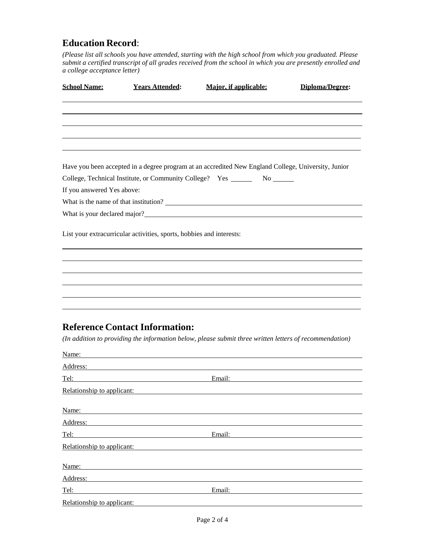## **Education Record**:

*(Please list all schools you have attended, starting with the high school from which you graduated. Please submit a certified transcript of all grades received from the school in which you are presently enrolled and a college acceptance letter)*

| <b>School Name:</b>        | <b>Years Attended:</b>                                                                                                                                                                                                         | <b>Major, if applicable:</b>                                                                                                                                                                                                         | Diploma/Degree: |
|----------------------------|--------------------------------------------------------------------------------------------------------------------------------------------------------------------------------------------------------------------------------|--------------------------------------------------------------------------------------------------------------------------------------------------------------------------------------------------------------------------------------|-----------------|
|                            |                                                                                                                                                                                                                                |                                                                                                                                                                                                                                      |                 |
|                            |                                                                                                                                                                                                                                |                                                                                                                                                                                                                                      |                 |
|                            |                                                                                                                                                                                                                                |                                                                                                                                                                                                                                      |                 |
|                            |                                                                                                                                                                                                                                | Have you been accepted in a degree program at an accredited New England College, University, Junior<br>College, Technical Institute, or Community College? Yes ________ No ______                                                    |                 |
| If you answered Yes above: |                                                                                                                                                                                                                                |                                                                                                                                                                                                                                      |                 |
|                            |                                                                                                                                                                                                                                |                                                                                                                                                                                                                                      |                 |
|                            |                                                                                                                                                                                                                                | What is your declared major?<br><u>Letting</u> the state of the state of the state of the state of the state of the state of the state of the state of the state of the state of the state of the state of the state of the state of |                 |
|                            | List your extracurricular activities, sports, hobbies and interests:                                                                                                                                                           |                                                                                                                                                                                                                                      |                 |
|                            |                                                                                                                                                                                                                                |                                                                                                                                                                                                                                      |                 |
|                            |                                                                                                                                                                                                                                |                                                                                                                                                                                                                                      |                 |
|                            |                                                                                                                                                                                                                                |                                                                                                                                                                                                                                      |                 |
|                            |                                                                                                                                                                                                                                |                                                                                                                                                                                                                                      |                 |
|                            | <b>Reference Contact Information:</b>                                                                                                                                                                                          |                                                                                                                                                                                                                                      |                 |
|                            |                                                                                                                                                                                                                                | (In addition to providing the information below, please submit three written letters of recommendation)                                                                                                                              |                 |
|                            |                                                                                                                                                                                                                                |                                                                                                                                                                                                                                      |                 |
| Name:                      |                                                                                                                                                                                                                                |                                                                                                                                                                                                                                      |                 |
|                            | Address: Andreas Address: Address: Address: Address: Address: Address: Address: Address: Address: Address: Address: Address: Address: Address: Address: Address: Address: Address: Address: Address: Address: Address: Address |                                                                                                                                                                                                                                      |                 |
| Tel:                       |                                                                                                                                                                                                                                | Email:                                                                                                                                                                                                                               |                 |
| Relationship to applicant: |                                                                                                                                                                                                                                |                                                                                                                                                                                                                                      |                 |
| Name:                      |                                                                                                                                                                                                                                |                                                                                                                                                                                                                                      |                 |
|                            | Address:                                                                                                                                                                                                                       |                                                                                                                                                                                                                                      |                 |
| <u>Tel:</u>                |                                                                                                                                                                                                                                | Email:                                                                                                                                                                                                                               |                 |
| Relationship to applicant: |                                                                                                                                                                                                                                |                                                                                                                                                                                                                                      |                 |
| Name:                      |                                                                                                                                                                                                                                |                                                                                                                                                                                                                                      |                 |

Address:

Tel: Email: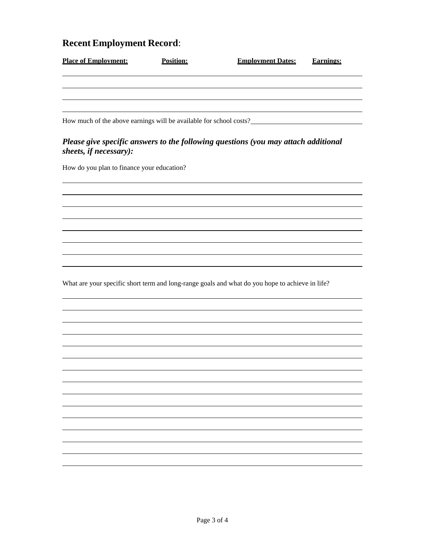## **Recent Employment Record**:

| <b>Place of Employment:</b>                                        | Position: | <b>Employment Dates:</b>                                                                        | <b>Earnings:</b> |
|--------------------------------------------------------------------|-----------|-------------------------------------------------------------------------------------------------|------------------|
|                                                                    |           |                                                                                                 |                  |
| How much of the above earnings will be available for school costs? |           |                                                                                                 |                  |
| sheets, if necessary):                                             |           | Please give specific answers to the following questions (you may attach additional              |                  |
| How do you plan to finance your education?                         |           |                                                                                                 |                  |
|                                                                    |           |                                                                                                 |                  |
|                                                                    |           |                                                                                                 |                  |
|                                                                    |           |                                                                                                 |                  |
|                                                                    |           | What are your specific short term and long-range goals and what do you hope to achieve in life? |                  |
|                                                                    |           |                                                                                                 |                  |
|                                                                    |           |                                                                                                 |                  |
|                                                                    |           |                                                                                                 |                  |
|                                                                    |           |                                                                                                 |                  |
|                                                                    |           |                                                                                                 |                  |
|                                                                    |           |                                                                                                 |                  |
|                                                                    |           |                                                                                                 |                  |